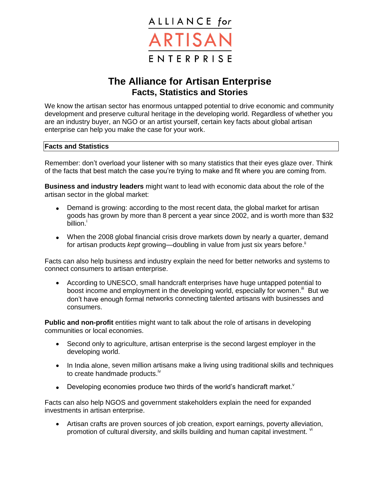

## **The Alliance for Artisan Enterprise Facts, Statistics and Stories**

We know the artisan sector has enormous untapped potential to drive economic and community development and preserve cultural heritage in the developing world. Regardless of whether you are an industry buyer, an NGO or an artist yourself, certain key facts about global artisan enterprise can help you make the case for your work.

## **Facts and Statistics**

Remember: don't overload your listener with so many statistics that their eyes glaze over. Think of the facts that best match the case you're trying to make and fit where you are coming from.

**Business and industry leaders** might want to lead with economic data about the role of the artisan sector in the global market:

- Demand is growing: according to the most recent data, the global market for artisan goods has grown by more than 8 percent a year since 2002, and is worth more than \$32 billion.<sup>i</sup>
- When the 2008 global financial crisis drove markets down by nearly a quarter, demand for artisan products *kept* growing—doubling in value from just six years before.<sup>ii</sup>

Facts can also help business and industry explain the need for better networks and systems to connect consumers to artisan enterprise.

 According to UNESCO, small handcraft enterprises have huge untapped potential to boost income and employment in the developing world, especially for women.<sup>iii</sup> But we don't have enough formal networks connecting talented artisans with businesses and consumers.

**Public and non-profit** entities might want to talk about the role of artisans in developing communities or local economies.

- Second only to agriculture, artisan enterprise is the second largest employer in the developing world.
- In India alone, seven million artisans make a living using traditional skills and techniques to create handmade products.<sup>iv</sup>
- Developing economies produce two thirds of the world's handicraft market.<sup>v</sup>

Facts can also help NGOS and government stakeholders explain the need for expanded investments in artisan enterprise.

 Artisan crafts are proven sources of job creation, export earnings, poverty alleviation, promotion of cultural diversity, and skills building and human capital investment. V